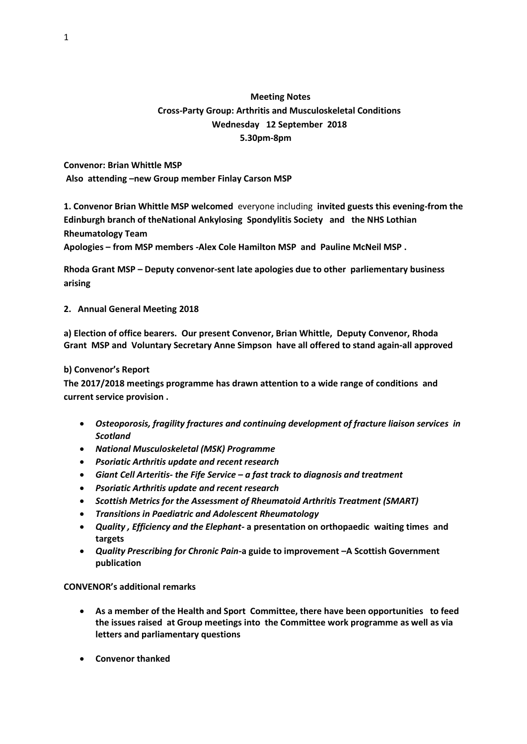# **Meeting Notes Cross-Party Group: Arthritis and Musculoskeletal Conditions Wednesday 12 September 2018 5.30pm-8pm**

**Convenor: Brian Whittle MSP Also attending –new Group member Finlay Carson MSP** 

**1. Convenor Brian Whittle MSP welcomed** everyone including **invited guests this evening-from the Edinburgh branch of theNational Ankylosing Spondylitis Society and the NHS Lothian Rheumatology Team**

**Apologies – from MSP members -Alex Cole Hamilton MSP and Pauline McNeil MSP .**

**Rhoda Grant MSP – Deputy convenor-sent late apologies due to other parliementary business arising**

**2. Annual General Meeting 2018**

**a) Election of office bearers. Our present Convenor, Brian Whittle, Deputy Convenor, Rhoda Grant MSP and Voluntary Secretary Anne Simpson have all offered to stand again-all approved**

## **b) Convenor's Report**

**The 2017/2018 meetings programme has drawn attention to a wide range of conditions and current service provision .**

- *Osteoporosis, fragility fractures and continuing development of fracture liaison services in Scotland*
- *National Musculoskeletal (MSK) Programme*
- *Psoriatic Arthritis update and recent research*
- *Giant Cell Arteritis- the Fife Service – a fast track to diagnosis and treatment*
- *Psoriatic Arthritis update and recent research*
- *Scottish Metrics for the Assessment of Rheumatoid Arthritis Treatment (SMART)*
- *Transitions in Paediatric and Adolescent Rheumatology*
- *Quality , Efficiency and the Elephant-* **a presentation on orthopaedic waiting times and targets**
- *Quality Prescribing for Chronic Pain-***a guide to improvement –A Scottish Government publication**

## **CONVENOR's additional remarks**

- **As a member of the Health and Sport Committee, there have been opportunities to feed the issues raised at Group meetings into the Committee work programme as well as via letters and parliamentary questions**
- **Convenor thanked**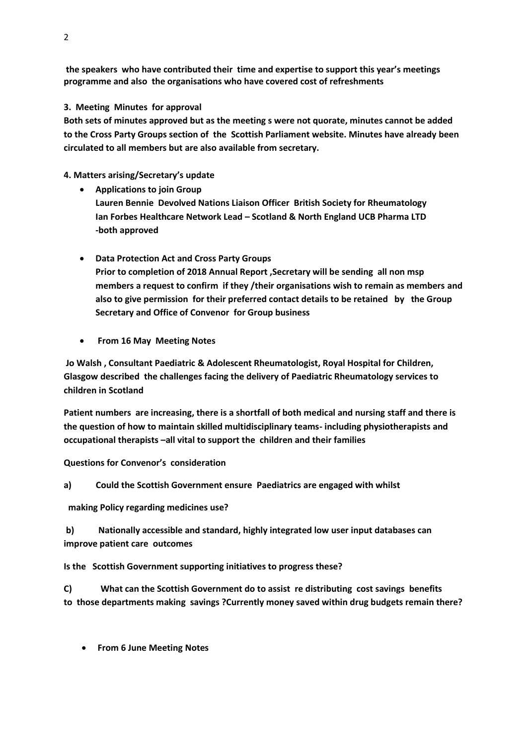**the speakers who have contributed their time and expertise to support this year's meetings programme and also the organisations who have covered cost of refreshments** 

**3. Meeting Minutes for approval**

**Both sets of minutes approved but as the meeting s were not quorate, minutes cannot be added to the Cross Party Groups section of the Scottish Parliament website. Minutes have already been circulated to all members but are also available from secretary.**

**4. Matters arising/Secretary's update**

- **Applications to join Group Lauren Bennie Devolved Nations Liaison Officer British Society for Rheumatology Ian Forbes Healthcare Network Lead – Scotland & North England UCB Pharma LTD -both approved**
- **Data Protection Act and Cross Party Groups Prior to completion of 2018 Annual Report ,Secretary will be sending all non msp members a request to confirm if they /their organisations wish to remain as members and also to give permission for their preferred contact details to be retained by the Group Secretary and Office of Convenor for Group business**
- **From 16 May Meeting Notes**

**Jo Walsh , Consultant Paediatric & Adolescent Rheumatologist, Royal Hospital for Children, Glasgow described the challenges facing the delivery of Paediatric Rheumatology services to children in Scotland** 

**Patient numbers are increasing, there is a shortfall of both medical and nursing staff and there is the question of how to maintain skilled multidisciplinary teams- including physiotherapists and occupational therapists –all vital to support the children and their families**

**Questions for Convenor's consideration**

**a) Could the Scottish Government ensure Paediatrics are engaged with whilst**

**making Policy regarding medicines use?**

**b) Nationally accessible and standard, highly integrated low user input databases can improve patient care outcomes**

**Is the Scottish Government supporting initiatives to progress these?**

**C) What can the Scottish Government do to assist re distributing cost savings benefits to those departments making savings ?Currently money saved within drug budgets remain there?**

• **From 6 June Meeting Notes**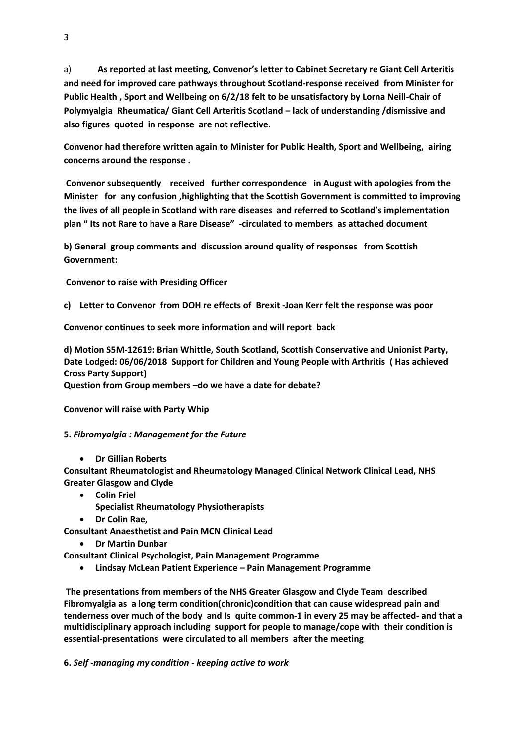a) **As reported at last meeting, Convenor's letter to Cabinet Secretary re Giant Cell Arteritis and need for improved care pathways throughout Scotland-response received from Minister for Public Health , Sport and Wellbeing on 6/2/18 felt to be unsatisfactory by Lorna Neill-Chair of Polymyalgia Rheumatica/ Giant Cell Arteritis Scotland – lack of understanding /dismissive and also figures quoted in response are not reflective.**

**Convenor had therefore written again to Minister for Public Health, Sport and Wellbeing, airing concerns around the response .**

**Convenor subsequently received further correspondence in August with apologies from the Minister for any confusion ,highlighting that the Scottish Government is committed to improving the lives of all people in Scotland with rare diseases and referred to Scotland's implementation plan " Its not Rare to have a Rare Disease" -circulated to members as attached document**

**b) General group comments and discussion around quality of responses from Scottish Government:**

**Convenor to raise with Presiding Officer**

**c) Letter to Convenor from DOH re effects of Brexit -Joan Kerr felt the response was poor**

**Convenor continues to seek more information and will report back**

**d) Motion S5M-12619: Brian Whittle, South Scotland, Scottish Conservative and Unionist Party, Date Lodged: 06/06/2018 Support for Children and Young People with Arthritis ( Has achieved Cross Party Support) Question from Group members –do we have a date for debate?**

**Convenor will raise with Party Whip**

### **5.** *Fibromyalgia : Management for the Future*

• **Dr Gillian Roberts**

**Consultant Rheumatologist and Rheumatology Managed Clinical Network Clinical Lead, NHS Greater Glasgow and Clyde**

- **Colin Friel**
	- **Specialist Rheumatology Physiotherapists**
- **Dr Colin Rae,**

**Consultant Anaesthetist and Pain MCN Clinical Lead**

• **Dr Martin Dunbar**

**Consultant Clinical Psychologist, Pain Management Programme**

• **Lindsay McLean Patient Experience – Pain Management Programme**

**The presentations from members of the NHS Greater Glasgow and Clyde Team described Fibromyalgia as a long term condition(chronic)condition that can cause widespread pain and tenderness over much of the body and Is quite common-1 in every 25 may be affected- and that a multidisciplinary approach including support for people to manage/cope with their condition is essential-presentations were circulated to all members after the meeting**

**6.** *Self -managing my condition - keeping active to work*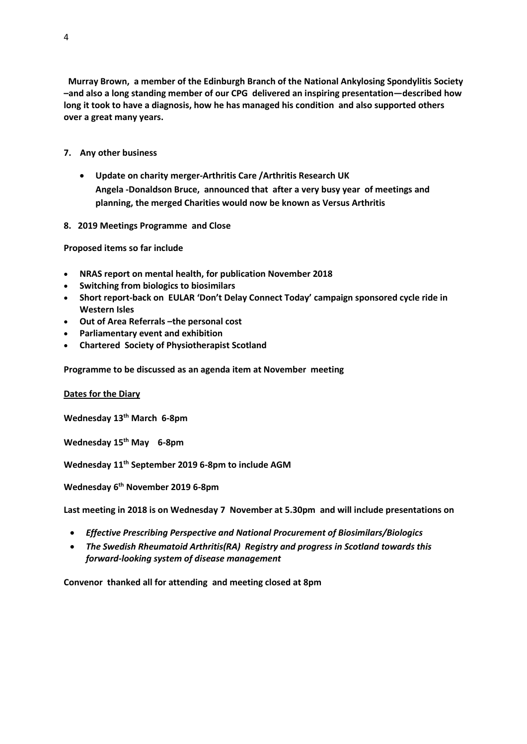- **7. Any other business** 
	- **Update on charity merger-Arthritis Care /Arthritis Research UK Angela -Donaldson Bruce, announced that after a very busy year of meetings and planning, the merged Charities would now be known as Versus Arthritis**
- **8. 2019 Meetings Programme and Close**

**Proposed items so far include** 

- **NRAS report on mental health, for publication November 2018**
- **Switching from biologics to biosimilars**
- **Short report-back on EULAR 'Don't Delay Connect Today' campaign sponsored cycle ride in Western Isles**
- **Out of Area Referrals –the personal cost**
- **Parliamentary event and exhibition**
- **Chartered Society of Physiotherapist Scotland**

**Programme to be discussed as an agenda item at November meeting**

### **Dates for the Diary**

**Wednesday 13th March 6-8pm**

**Wednesday 15th May 6-8pm**

**Wednesday 11th September 2019 6-8pm to include AGM**

**Wednesday 6th November 2019 6-8pm**

**Last meeting in 2018 is on Wednesday 7 November at 5.30pm and will include presentations on**

- *Effective Prescribing Perspective and National Procurement of Biosimilars/Biologics*
- *The Swedish Rheumatoid Arthritis(RA) Registry and progress in Scotland towards this forward-looking system of disease management*

**Convenor thanked all for attending and meeting closed at 8pm**